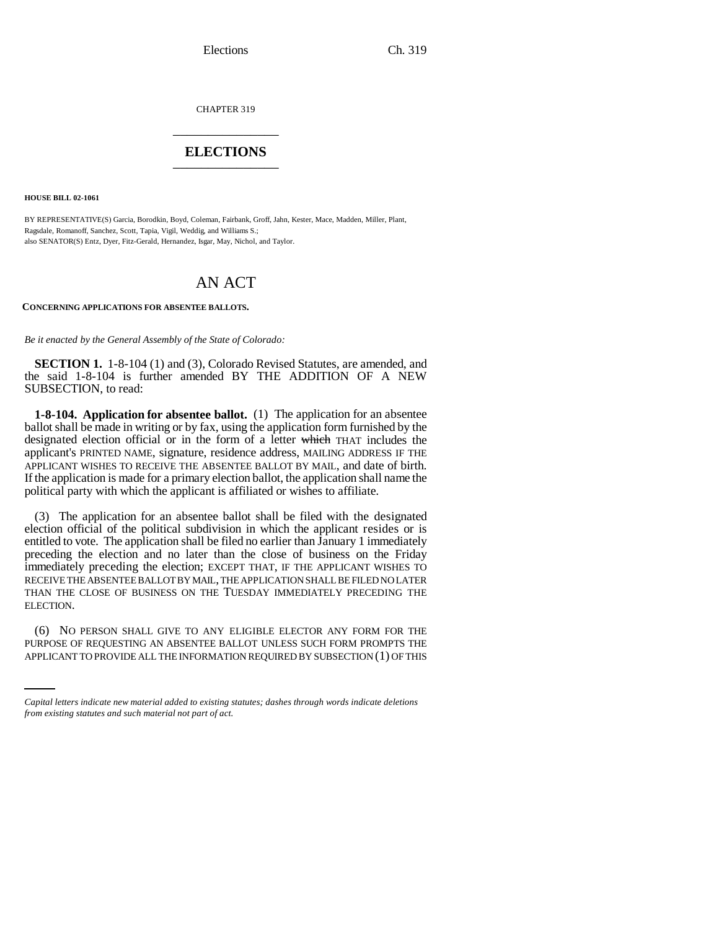Elections Ch. 319

CHAPTER 319 \_\_\_\_\_\_\_\_\_\_\_\_\_\_\_

# **ELECTIONS** \_\_\_\_\_\_\_\_\_\_\_\_\_\_\_

**HOUSE BILL 02-1061**

BY REPRESENTATIVE(S) Garcia, Borodkin, Boyd, Coleman, Fairbank, Groff, Jahn, Kester, Mace, Madden, Miller, Plant, Ragsdale, Romanoff, Sanchez, Scott, Tapia, Vigil, Weddig, and Williams S.; also SENATOR(S) Entz, Dyer, Fitz-Gerald, Hernandez, Isgar, May, Nichol, and Taylor.

# AN ACT

### **CONCERNING APPLICATIONS FOR ABSENTEE BALLOTS.**

*Be it enacted by the General Assembly of the State of Colorado:*

**SECTION 1.** 1-8-104 (1) and (3), Colorado Revised Statutes, are amended, and the said 1-8-104 is further amended BY THE ADDITION OF A NEW SUBSECTION, to read:

**1-8-104. Application for absentee ballot.** (1) The application for an absentee ballot shall be made in writing or by fax, using the application form furnished by the designated election official or in the form of a letter which THAT includes the applicant's PRINTED NAME, signature, residence address, MAILING ADDRESS IF THE APPLICANT WISHES TO RECEIVE THE ABSENTEE BALLOT BY MAIL, and date of birth. If the application is made for a primary election ballot, the application shall name the political party with which the applicant is affiliated or wishes to affiliate.

(3) The application for an absentee ballot shall be filed with the designated election official of the political subdivision in which the applicant resides or is entitled to vote. The application shall be filed no earlier than January 1 immediately preceding the election and no later than the close of business on the Friday immediately preceding the election; EXCEPT THAT, IF THE APPLICANT WISHES TO RECEIVE THE ABSENTEE BALLOT BY MAIL, THE APPLICATION SHALL BE FILED NO LATER THAN THE CLOSE OF BUSINESS ON THE TUESDAY IMMEDIATELY PRECEDING THE ELECTION.

(6) NO PERSON SHALL GIVE TO ANY ELIGIBLE ELECTOR ANY FORM FOR THE PURPOSE OF REQUESTING AN ABSENTEE BALLOT UNLESS SUCH FORM PROMPTS THE APPLICANT TO PROVIDE ALL THE INFORMATION REQUIRED BY SUBSECTION (1) OF THIS

*Capital letters indicate new material added to existing statutes; dashes through words indicate deletions from existing statutes and such material not part of act.*